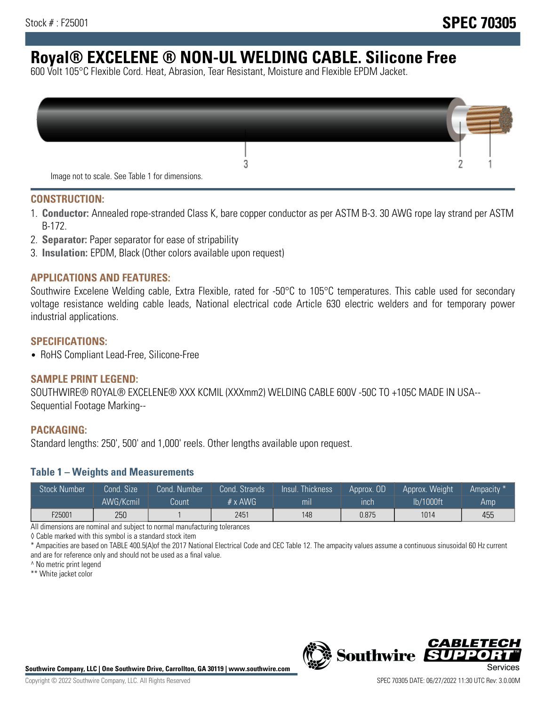# **Royal® EXCELENE ® NON-UL WELDING CABLE. Silicone Free**

600 Volt 105°C Flexible Cord. Heat, Abrasion, Tear Resistant, Moisture and Flexible EPDM Jacket.

| Image not to scale. See Table 1 for dimensions. |  |
|-------------------------------------------------|--|

#### **CONSTRUCTION:**

- 1. **Conductor:** Annealed rope-stranded Class K, bare copper conductor as per ASTM B-3. 30 AWG rope lay strand per ASTM B-172.
- 2. **Separator:** Paper separator for ease of stripability
- 3. **Insulation:** EPDM, Black (Other colors available upon request)

#### **APPLICATIONS AND FEATURES:**

Southwire Excelene Welding cable, Extra Flexible, rated for -50°C to 105°C temperatures. This cable used for secondary voltage resistance welding cable leads, National electrical code Article 630 electric welders and for temporary power industrial applications.

#### **SPECIFICATIONS:**

• RoHS Compliant Lead-Free, Silicone-Free

#### **SAMPLE PRINT LEGEND:**

SOUTHWIRE® ROYAL® EXCELENE® XXX KCMIL (XXXmm2) WELDING CABLE 600V -50C TO +105C MADE IN USA-- Sequential Footage Marking--

#### **PACKAGING:**

Standard lengths: 250', 500' and 1,000' reels. Other lengths available upon request.

#### **Table 1 – Weights and Measurements**

| <b>Stock Number</b> | Cond. Size | Cond. Number | Cond. Strands  | Insul. Thickness | Approx. OD | Approx. Weight | Ampacity <sup>*</sup> |
|---------------------|------------|--------------|----------------|------------------|------------|----------------|-----------------------|
|                     | AWG/Kcmil  | Count        | $# \times$ AWG | m <sub>l</sub>   | inch       | lb/1000ft      | Amp                   |
| F25001              | 250        |              | 2451           | 148              | 0.875      | 1014           | 455                   |

All dimensions are nominal and subject to normal manufacturing tolerances

◊ Cable marked with this symbol is a standard stock item

\* Ampacities are based on TABLE 400.5(A)of the 2017 National Electrical Code and CEC Table 12. The ampacity values assume a continuous sinusoidal 60 Hz current and are for reference only and should not be used as a final value.

^ No metric print legend

\*\* White jacket color



*CABLE*